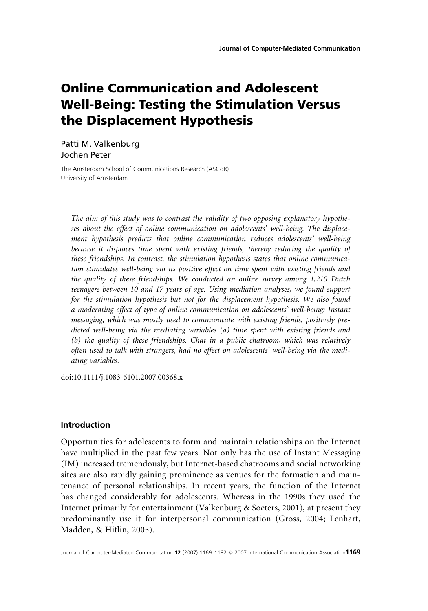# Online Communication and Adolescent Well-Being: Testing the Stimulation Versus the Displacement Hypothesis

Patti M. Valkenburg Jochen Peter

The Amsterdam School of Communications Research (ASCoR) University of Amsterdam

The aim of this study was to contrast the validity of two opposing explanatory hypotheses about the effect of online communication on adolescents' well-being. The displacement hypothesis predicts that online communication reduces adolescents' well-being because it displaces time spent with existing friends, thereby reducing the quality of these friendships. In contrast, the stimulation hypothesis states that online communication stimulates well-being via its positive effect on time spent with existing friends and the quality of these friendships. We conducted an online survey among 1,210 Dutch teenagers between 10 and 17 years of age. Using mediation analyses, we found support for the stimulation hypothesis but not for the displacement hypothesis. We also found a moderating effect of type of online communication on adolescents' well-being: Instant messaging, which was mostly used to communicate with existing friends, positively predicted well-being via the mediating variables (a) time spent with existing friends and (b) the quality of these friendships. Chat in a public chatroom, which was relatively often used to talk with strangers, had no effect on adolescents' well-being via the mediating variables.

doi:10.1111/j.1083-6101.2007.00368.x

# Introduction

Opportunities for adolescents to form and maintain relationships on the Internet have multiplied in the past few years. Not only has the use of Instant Messaging (IM) increased tremendously, but Internet-based chatrooms and social networking sites are also rapidly gaining prominence as venues for the formation and maintenance of personal relationships. In recent years, the function of the Internet has changed considerably for adolescents. Whereas in the 1990s they used the Internet primarily for entertainment (Valkenburg & Soeters, 2001), at present they predominantly use it for interpersonal communication (Gross, 2004; Lenhart, Madden, & Hitlin, 2005).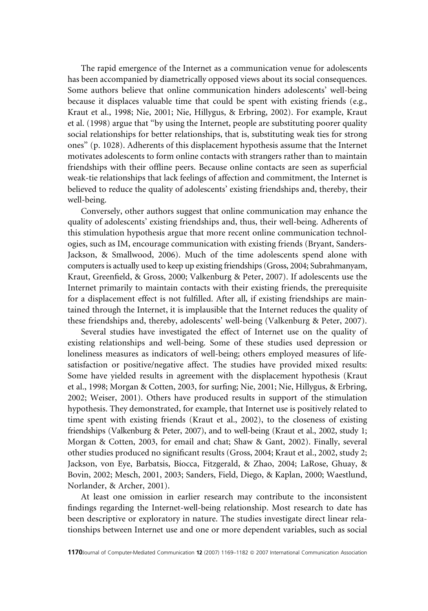The rapid emergence of the Internet as a communication venue for adolescents has been accompanied by diametrically opposed views about its social consequences. Some authors believe that online communication hinders adolescents' well-being because it displaces valuable time that could be spent with existing friends (e.g., Kraut et al., 1998; Nie, 2001; Nie, Hillygus, & Erbring, 2002). For example, Kraut et al. (1998) argue that ''by using the Internet, people are substituting poorer quality social relationships for better relationships, that is, substituting weak ties for strong ones'' (p. 1028). Adherents of this displacement hypothesis assume that the Internet motivates adolescents to form online contacts with strangers rather than to maintain friendships with their offline peers. Because online contacts are seen as superficial weak-tie relationships that lack feelings of affection and commitment, the Internet is believed to reduce the quality of adolescents' existing friendships and, thereby, their well-being.

Conversely, other authors suggest that online communication may enhance the quality of adolescents' existing friendships and, thus, their well-being. Adherents of this stimulation hypothesis argue that more recent online communication technologies, such as IM, encourage communication with existing friends (Bryant, Sanders-Jackson, & Smallwood, 2006). Much of the time adolescents spend alone with computers is actually used to keep up existing friendships (Gross, 2004; Subrahmanyam, Kraut, Greenfield, & Gross, 2000; Valkenburg & Peter, 2007). If adolescents use the Internet primarily to maintain contacts with their existing friends, the prerequisite for a displacement effect is not fulfilled. After all, if existing friendships are maintained through the Internet, it is implausible that the Internet reduces the quality of these friendships and, thereby, adolescents' well-being (Valkenburg & Peter, 2007).

Several studies have investigated the effect of Internet use on the quality of existing relationships and well-being. Some of these studies used depression or loneliness measures as indicators of well-being; others employed measures of lifesatisfaction or positive/negative affect. The studies have provided mixed results: Some have yielded results in agreement with the displacement hypothesis (Kraut et al., 1998; Morgan & Cotten, 2003, for surfing; Nie, 2001; Nie, Hillygus, & Erbring, 2002; Weiser, 2001). Others have produced results in support of the stimulation hypothesis. They demonstrated, for example, that Internet use is positively related to time spent with existing friends (Kraut et al., 2002), to the closeness of existing friendships (Valkenburg & Peter, 2007), and to well-being (Kraut et al., 2002, study 1; Morgan & Cotten, 2003, for email and chat; Shaw & Gant, 2002). Finally, several other studies produced no significant results (Gross, 2004; Kraut et al., 2002, study 2; Jackson, von Eye, Barbatsis, Biocca, Fitzgerald, & Zhao, 2004; LaRose, Ghuay, & Bovin, 2002; Mesch, 2001, 2003; Sanders, Field, Diego, & Kaplan, 2000; Waestlund, Norlander, & Archer, 2001).

At least one omission in earlier research may contribute to the inconsistent findings regarding the Internet-well-being relationship. Most research to date has been descriptive or exploratory in nature. The studies investigate direct linear relationships between Internet use and one or more dependent variables, such as social

1170Journal of Computer-Mediated Communication 12 (2007) 1169-1182 @ 2007 International Communication Association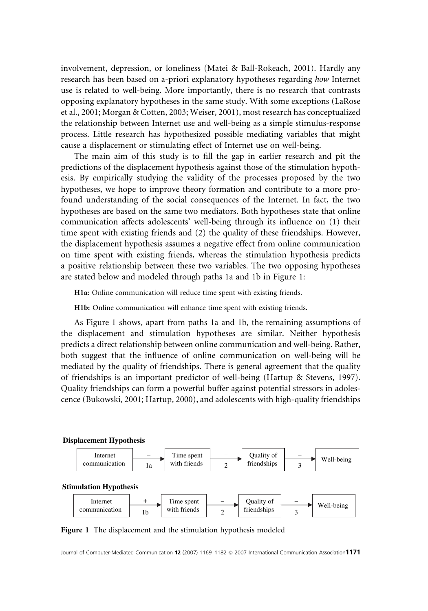involvement, depression, or loneliness (Matei & Ball-Rokeach, 2001). Hardly any research has been based on a-priori explanatory hypotheses regarding how Internet use is related to well-being. More importantly, there is no research that contrasts opposing explanatory hypotheses in the same study. With some exceptions (LaRose et al., 2001; Morgan & Cotten, 2003; Weiser, 2001), most research has conceptualized the relationship between Internet use and well-being as a simple stimulus-response process. Little research has hypothesized possible mediating variables that might cause a displacement or stimulating effect of Internet use on well-being.

The main aim of this study is to fill the gap in earlier research and pit the predictions of the displacement hypothesis against those of the stimulation hypothesis. By empirically studying the validity of the processes proposed by the two hypotheses, we hope to improve theory formation and contribute to a more profound understanding of the social consequences of the Internet. In fact, the two hypotheses are based on the same two mediators. Both hypotheses state that online communication affects adolescents' well-being through its influence on (1) their time spent with existing friends and (2) the quality of these friendships. However, the displacement hypothesis assumes a negative effect from online communication on time spent with existing friends, whereas the stimulation hypothesis predicts a positive relationship between these two variables. The two opposing hypotheses are stated below and modeled through paths 1a and 1b in Figure 1:

H1a: Online communication will reduce time spent with existing friends.

H1b: Online communication will enhance time spent with existing friends.

As Figure 1 shows, apart from paths 1a and 1b, the remaining assumptions of the displacement and stimulation hypotheses are similar. Neither hypothesis predicts a direct relationship between online communication and well-being. Rather, both suggest that the influence of online communication on well-being will be mediated by the quality of friendships. There is general agreement that the quality of friendships is an important predictor of well-being (Hartup & Stevens, 1997). Quality friendships can form a powerful buffer against potential stressors in adolescence (Bukowski, 2001; Hartup, 2000), and adolescents with high-quality friendships



Figure 1 The displacement and the stimulation hypothesis modeled

Journal of Computer-Mediated Communication 12 (2007) 1169–1182 <sup>©</sup> 2007 International Communication Association 1171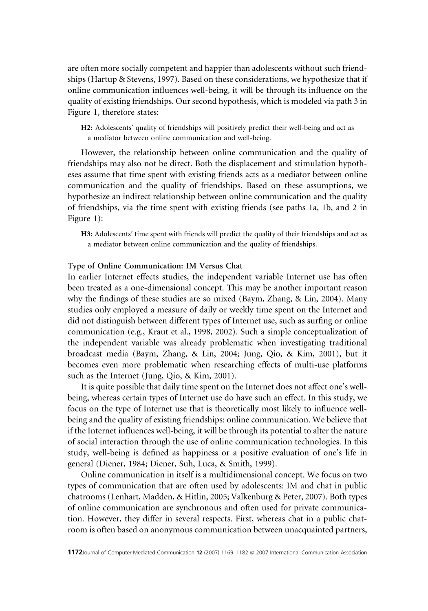are often more socially competent and happier than adolescents without such friendships (Hartup & Stevens, 1997). Based on these considerations, we hypothesize that if online communication influences well-being, it will be through its influence on the quality of existing friendships. Our second hypothesis, which is modeled via path 3 in Figure 1, therefore states:

H2: Adolescents' quality of friendships will positively predict their well-being and act as a mediator between online communication and well-being.

However, the relationship between online communication and the quality of friendships may also not be direct. Both the displacement and stimulation hypotheses assume that time spent with existing friends acts as a mediator between online communication and the quality of friendships. Based on these assumptions, we hypothesize an indirect relationship between online communication and the quality of friendships, via the time spent with existing friends (see paths 1a, 1b, and 2 in Figure 1):

H3: Adolescents' time spent with friends will predict the quality of their friendships and act as a mediator between online communication and the quality of friendships.

# Type of Online Communication: IM Versus Chat

In earlier Internet effects studies, the independent variable Internet use has often been treated as a one-dimensional concept. This may be another important reason why the findings of these studies are so mixed (Baym, Zhang, & Lin, 2004). Many studies only employed a measure of daily or weekly time spent on the Internet and did not distinguish between different types of Internet use, such as surfing or online communication (e.g., Kraut et al., 1998, 2002). Such a simple conceptualization of the independent variable was already problematic when investigating traditional broadcast media (Baym, Zhang, & Lin, 2004; Jung, Qio, & Kim, 2001), but it becomes even more problematic when researching effects of multi-use platforms such as the Internet (Jung, Qio, & Kim, 2001).

It is quite possible that daily time spent on the Internet does not affect one's wellbeing, whereas certain types of Internet use do have such an effect. In this study, we focus on the type of Internet use that is theoretically most likely to influence wellbeing and the quality of existing friendships: online communication. We believe that if the Internet influences well-being, it will be through its potential to alter the nature of social interaction through the use of online communication technologies. In this study, well-being is defined as happiness or a positive evaluation of one's life in general (Diener, 1984; Diener, Suh, Luca, & Smith, 1999).

Online communication in itself is a multidimensional concept. We focus on two types of communication that are often used by adolescents: IM and chat in public chatrooms (Lenhart, Madden, & Hitlin, 2005; Valkenburg & Peter, 2007). Both types of online communication are synchronous and often used for private communication. However, they differ in several respects. First, whereas chat in a public chatroom is often based on anonymous communication between unacquainted partners,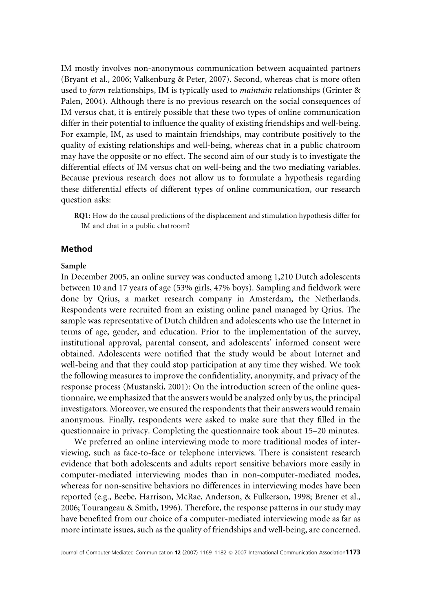IM mostly involves non-anonymous communication between acquainted partners (Bryant et al., 2006; Valkenburg & Peter, 2007). Second, whereas chat is more often used to *form* relationships, IM is typically used to *maintain* relationships (Grinter & Palen, 2004). Although there is no previous research on the social consequences of IM versus chat, it is entirely possible that these two types of online communication differ in their potential to influence the quality of existing friendships and well-being. For example, IM, as used to maintain friendships, may contribute positively to the quality of existing relationships and well-being, whereas chat in a public chatroom may have the opposite or no effect. The second aim of our study is to investigate the differential effects of IM versus chat on well-being and the two mediating variables. Because previous research does not allow us to formulate a hypothesis regarding these differential effects of different types of online communication, our research question asks:

RQ1: How do the causal predictions of the displacement and stimulation hypothesis differ for IM and chat in a public chatroom?

# Method

# Sample

In December 2005, an online survey was conducted among 1,210 Dutch adolescents between 10 and 17 years of age (53% girls, 47% boys). Sampling and fieldwork were done by Qrius, a market research company in Amsterdam, the Netherlands. Respondents were recruited from an existing online panel managed by Qrius. The sample was representative of Dutch children and adolescents who use the Internet in terms of age, gender, and education. Prior to the implementation of the survey, institutional approval, parental consent, and adolescents' informed consent were obtained. Adolescents were notified that the study would be about Internet and well-being and that they could stop participation at any time they wished. We took the following measures to improve the confidentiality, anonymity, and privacy of the response process (Mustanski, 2001): On the introduction screen of the online questionnaire, we emphasized that the answers would be analyzed only by us, the principal investigators. Moreover, we ensured the respondents that their answers would remain anonymous. Finally, respondents were asked to make sure that they filled in the questionnaire in privacy. Completing the questionnaire took about 15–20 minutes.

We preferred an online interviewing mode to more traditional modes of interviewing, such as face-to-face or telephone interviews. There is consistent research evidence that both adolescents and adults report sensitive behaviors more easily in computer-mediated interviewing modes than in non-computer-mediated modes, whereas for non-sensitive behaviors no differences in interviewing modes have been reported (e.g., Beebe, Harrison, McRae, Anderson, & Fulkerson, 1998; Brener et al., 2006; Tourangeau & Smith, 1996). Therefore, the response patterns in our study may have benefited from our choice of a computer-mediated interviewing mode as far as more intimate issues, such as the quality of friendships and well-being, are concerned.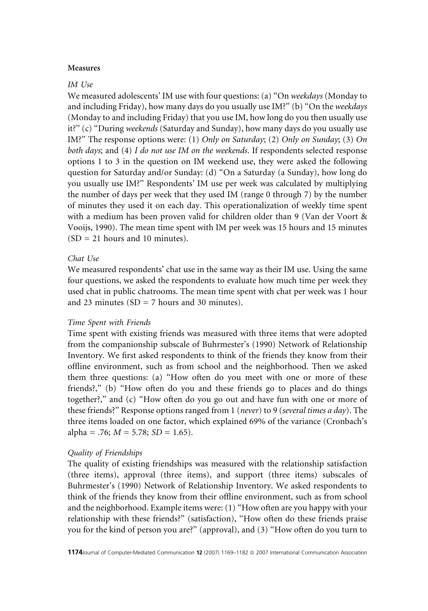## Measures

#### IM Use

We measured adolescents' IM use with four questions: (a) "On *weekdays* (Monday to and including Friday), how many days do you usually use IM?" (b) "On the weekdays (Monday to and including Friday) that you use IM, how long do you then usually use it?'' (c) ''During weekends (Saturday and Sunday), how many days do you usually use IM?" The response options were: (1) Only on Saturday; (2) Only on Sunday; (3) On both days; and (4) I do not use IM on the weekends. If respondents selected response options 1 to 3 in the question on IM weekend use, they were asked the following question for Saturday and/or Sunday: (d) ''On a Saturday (a Sunday), how long do you usually use IM?'' Respondents' IM use per week was calculated by multiplying the number of days per week that they used IM (range 0 through 7) by the number of minutes they used it on each day. This operationalization of weekly time spent with a medium has been proven valid for children older than 9 (Van der Voort & Vooijs, 1990). The mean time spent with IM per week was 15 hours and 15 minutes  $(SD = 21$  hours and 10 minutes).

# Chat Use

We measured respondents' chat use in the same way as their IM use. Using the same four questions, we asked the respondents to evaluate how much time per week they used chat in public chatrooms. The mean time spent with chat per week was 1 hour and 23 minutes ( $SD = 7$  hours and 30 minutes).

#### Time Spent with Friends

Time spent with existing friends was measured with three items that were adopted from the companionship subscale of Buhrmester's (1990) Network of Relationship Inventory. We first asked respondents to think of the friends they know from their offline environment, such as from school and the neighborhood. Then we asked them three questions: (a) ''How often do you meet with one or more of these friends?,'' (b) ''How often do you and these friends go to places and do things together?,'' and (c) ''How often do you go out and have fun with one or more of these friends?'' Response options ranged from 1 (never) to 9 (several times a day). The three items loaded on one factor, which explained 69% of the variance (Cronbach's alpha = .76;  $M = 5.78$ ;  $SD = 1.65$ ).

#### Quality of Friendships

The quality of existing friendships was measured with the relationship satisfaction (three items), approval (three items), and support (three items) subscales of Buhrmester's (1990) Network of Relationship Inventory. We asked respondents to think of the friends they know from their offline environment, such as from school and the neighborhood. Example items were: (1) ''How often are you happy with your relationship with these friends?'' (satisfaction), ''How often do these friends praise you for the kind of person you are?'' (approval), and (3) ''How often do you turn to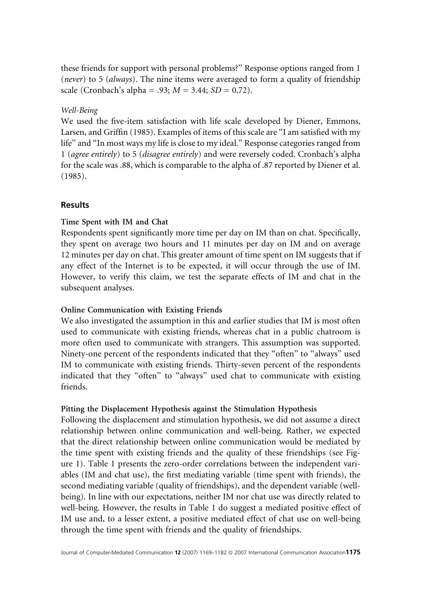these friends for support with personal problems?'' Response options ranged from 1 (never) to 5 (always). The nine items were averaged to form a quality of friendship scale (Cronbach's alpha = .93;  $M = 3.44$ ;  $SD = 0.72$ ).

# Well-Being

We used the five-item satisfaction with life scale developed by Diener, Emmons, Larsen, and Griffin (1985). Examples of items of this scale are ''I am satisfied with my life'' and ''In most ways my life is close to my ideal.'' Response categories ranged from 1 (agree entirely) to 5 (disagree entirely) and were reversely coded. Cronbach's alpha for the scale was .88, which is comparable to the alpha of .87 reported by Diener et al. (1985).

# Results

# Time Spent with IM and Chat

Respondents spent significantly more time per day on IM than on chat. Specifically, they spent on average two hours and 11 minutes per day on IM and on average 12 minutes per day on chat. This greater amount of time spent on IM suggests that if any effect of the Internet is to be expected, it will occur through the use of IM. However, to verify this claim, we test the separate effects of IM and chat in the subsequent analyses.

# Online Communication with Existing Friends

We also investigated the assumption in this and earlier studies that IM is most often used to communicate with existing friends, whereas chat in a public chatroom is more often used to communicate with strangers. This assumption was supported. Ninety-one percent of the respondents indicated that they "often" to "always" used IM to communicate with existing friends. Thirty-seven percent of the respondents indicated that they "often" to "always" used chat to communicate with existing friends.

# Pitting the Displacement Hypothesis against the Stimulation Hypothesis

Following the displacement and stimulation hypothesis, we did not assume a direct relationship between online communication and well-being. Rather, we expected that the direct relationship between online communication would be mediated by the time spent with existing friends and the quality of these friendships (see Figure 1). Table 1 presents the zero-order correlations between the independent variables (IM and chat use), the first mediating variable (time spent with friends), the second mediating variable (quality of friendships), and the dependent variable (wellbeing). In line with our expectations, neither IM nor chat use was directly related to well-being. However, the results in Table 1 do suggest a mediated positive effect of IM use and, to a lesser extent, a positive mediated effect of chat use on well-being through the time spent with friends and the quality of friendships.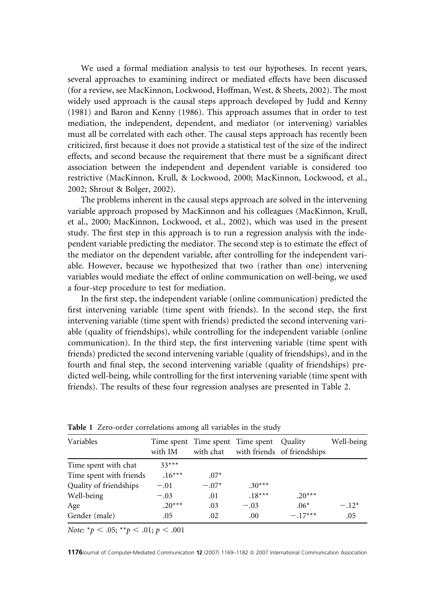We used a formal mediation analysis to test our hypotheses. In recent years, several approaches to examining indirect or mediated effects have been discussed (for a review, see MacKinnon, Lockwood, Hoffman, West, & Sheets, 2002). The most widely used approach is the causal steps approach developed by Judd and Kenny (1981) and Baron and Kenny (1986). This approach assumes that in order to test mediation, the independent, dependent, and mediator (or intervening) variables must all be correlated with each other. The causal steps approach has recently been criticized, first because it does not provide a statistical test of the size of the indirect effects, and second because the requirement that there must be a significant direct association between the independent and dependent variable is considered too restrictive (MacKinnon, Krull, & Lockwood, 2000; MacKinnon, Lockwood, et al., 2002; Shrout & Bolger, 2002).

The problems inherent in the causal steps approach are solved in the intervening variable approach proposed by MacKinnon and his colleagues (MacKinnon, Krull, et al., 2000; MacKinnon, Lockwood, et al., 2002), which was used in the present study. The first step in this approach is to run a regression analysis with the independent variable predicting the mediator. The second step is to estimate the effect of the mediator on the dependent variable, after controlling for the independent variable. However, because we hypothesized that two (rather than one) intervening variables would mediate the effect of online communication on well-being, we used a four-step procedure to test for mediation.

In the first step, the independent variable (online communication) predicted the first intervening variable (time spent with friends). In the second step, the first intervening variable (time spent with friends) predicted the second intervening variable (quality of friendships), while controlling for the independent variable (online communication). In the third step, the first intervening variable (time spent with friends) predicted the second intervening variable (quality of friendships), and in the fourth and final step, the second intervening variable (quality of friendships) predicted well-being, while controlling for the first intervening variable (time spent with friends). The results of these four regression analyses are presented in Table 2.

| Variables               | with IM  | with chat | Time spent Time spent Time spent Quality | with friends of friendships | Well-being |
|-------------------------|----------|-----------|------------------------------------------|-----------------------------|------------|
| Time spent with chat    | $33***$  |           |                                          |                             |            |
| Time spent with friends | $.16***$ | $.07*$    |                                          |                             |            |
| Quality of friendships  | $-.01$   | $-.07*$   | $.30***$                                 |                             |            |
| Well-being              | $-.03$   | .01       | $.18***$                                 | $.20***$                    |            |
| Age                     | $.20***$ | .03       | $-.03$                                   | $.06*$                      | $-.12*$    |
| Gender (male)           | .05      | .02       | .00                                      | $-.17***$                   | .05        |

Table 1 Zero-order correlations among all variables in the study

*Note:*  $* p < .05; **p < .01; p < .001$ 

1176 Journal of Computer-Mediated Communication 12 (2007) 1169-1182 @ 2007 International Communication Association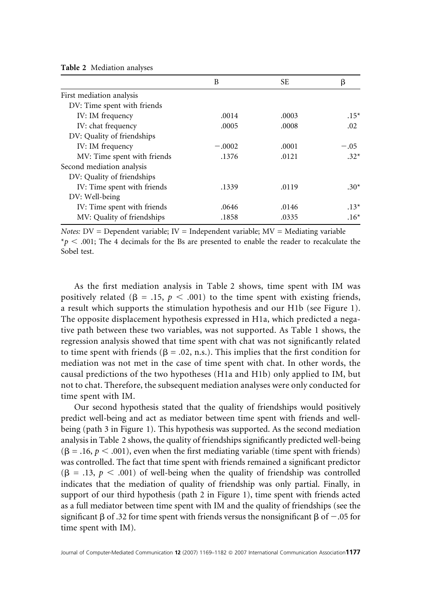|                             | B        | <b>SE</b> | β      |
|-----------------------------|----------|-----------|--------|
| First mediation analysis    |          |           |        |
| DV: Time spent with friends |          |           |        |
| IV: IM frequency            | .0014    | .0003     | $.15*$ |
| IV: chat frequency          | .0005    | .0008     | .02    |
| DV: Quality of friendships  |          |           |        |
| IV: IM frequency            | $-.0002$ | .0001     | $-.05$ |
| MV: Time spent with friends | .1376    | .0121     | $.32*$ |
| Second mediation analysis   |          |           |        |
| DV: Quality of friendships  |          |           |        |
| IV: Time spent with friends | .1339    | .0119     | $.30*$ |
| DV: Well-being              |          |           |        |
| IV: Time spent with friends | .0646    | .0146     | $.13*$ |
| MV: Quality of friendships  | .1858    | .0335     | $.16*$ |

Table 2 Mediation analyses

Notes:  $DV = Dependent variable$ ;  $IV = Independent variable$ ;  $MV = Mediating variable$  $*_p$  < .001; The 4 decimals for the Bs are presented to enable the reader to recalculate the Sobel test.

As the first mediation analysis in Table 2 shows, time spent with IM was positively related ( $\beta$  = .15,  $p < .001$ ) to the time spent with existing friends, a result which supports the stimulation hypothesis and our H1b (see Figure 1). The opposite displacement hypothesis expressed in H1a, which predicted a negative path between these two variables, was not supported. As Table 1 shows, the regression analysis showed that time spent with chat was not significantly related to time spent with friends ( $\beta$  = .02, n.s.). This implies that the first condition for mediation was not met in the case of time spent with chat. In other words, the causal predictions of the two hypotheses (H1a and H1b) only applied to IM, but not to chat. Therefore, the subsequent mediation analyses were only conducted for time spent with IM.

Our second hypothesis stated that the quality of friendships would positively predict well-being and act as mediator between time spent with friends and wellbeing (path 3 in Figure 1). This hypothesis was supported. As the second mediation analysis in Table 2 shows, the quality of friendships significantly predicted well-being  $(\beta = .16, p < .001)$ , even when the first mediating variable (time spent with friends) was controlled. The fact that time spent with friends remained a significant predictor  $(\beta = .13, p < .001)$  of well-being when the quality of friendship was controlled indicates that the mediation of quality of friendship was only partial. Finally, in support of our third hypothesis (path 2 in Figure 1), time spent with friends acted as a full mediator between time spent with IM and the quality of friendships (see the significant  $\beta$  of .32 for time spent with friends versus the nonsignificant  $\beta$  of  $-.05$  for time spent with IM).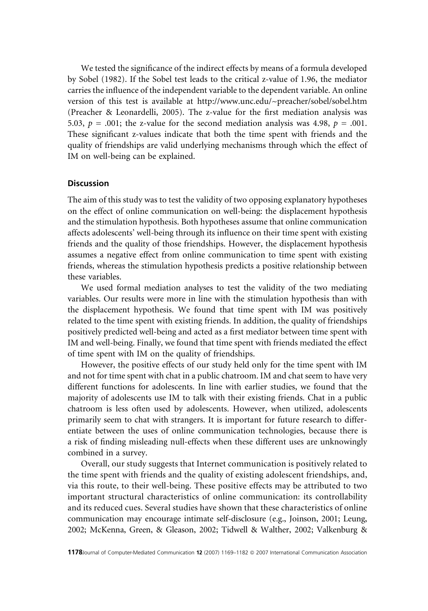We tested the significance of the indirect effects by means of a formula developed by Sobel (1982). If the Sobel test leads to the critical z-value of 1.96, the mediator carries the influence of the independent variable to the dependent variable. An online version of this test is available at http://www.unc.edu/~preacher/sobel/sobel.htm (Preacher & Leonardelli, 2005). The z-value for the first mediation analysis was 5.03,  $p = .001$ ; the z-value for the second mediation analysis was 4.98,  $p = .001$ . These significant z-values indicate that both the time spent with friends and the quality of friendships are valid underlying mechanisms through which the effect of IM on well-being can be explained.

## **Discussion**

The aim of this study was to test the validity of two opposing explanatory hypotheses on the effect of online communication on well-being: the displacement hypothesis and the stimulation hypothesis. Both hypotheses assume that online communication affects adolescents' well-being through its influence on their time spent with existing friends and the quality of those friendships. However, the displacement hypothesis assumes a negative effect from online communication to time spent with existing friends, whereas the stimulation hypothesis predicts a positive relationship between these variables.

We used formal mediation analyses to test the validity of the two mediating variables. Our results were more in line with the stimulation hypothesis than with the displacement hypothesis. We found that time spent with IM was positively related to the time spent with existing friends. In addition, the quality of friendships positively predicted well-being and acted as a first mediator between time spent with IM and well-being. Finally, we found that time spent with friends mediated the effect of time spent with IM on the quality of friendships.

However, the positive effects of our study held only for the time spent with IM and not for time spent with chat in a public chatroom. IM and chat seem to have very different functions for adolescents. In line with earlier studies, we found that the majority of adolescents use IM to talk with their existing friends. Chat in a public chatroom is less often used by adolescents. However, when utilized, adolescents primarily seem to chat with strangers. It is important for future research to differentiate between the uses of online communication technologies, because there is a risk of finding misleading null-effects when these different uses are unknowingly combined in a survey.

Overall, our study suggests that Internet communication is positively related to the time spent with friends and the quality of existing adolescent friendships, and, via this route, to their well-being. These positive effects may be attributed to two important structural characteristics of online communication: its controllability and its reduced cues. Several studies have shown that these characteristics of online communication may encourage intimate self-disclosure (e.g., Joinson, 2001; Leung, 2002; McKenna, Green, & Gleason, 2002; Tidwell & Walther, 2002; Valkenburg &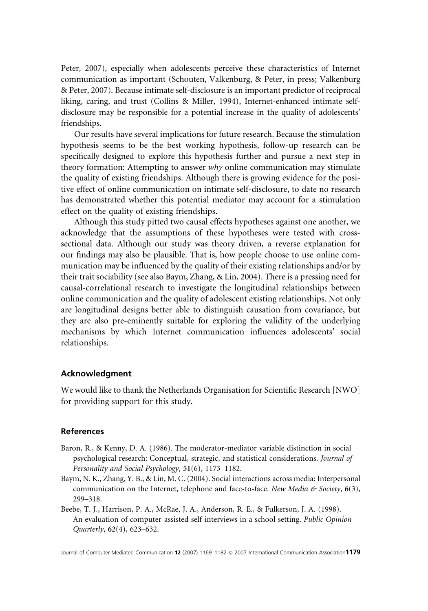Peter, 2007), especially when adolescents perceive these characteristics of Internet communication as important (Schouten, Valkenburg, & Peter, in press; Valkenburg & Peter, 2007). Because intimate self-disclosure is an important predictor of reciprocal liking, caring, and trust (Collins & Miller, 1994), Internet-enhanced intimate selfdisclosure may be responsible for a potential increase in the quality of adolescents' friendships.

Our results have several implications for future research. Because the stimulation hypothesis seems to be the best working hypothesis, follow-up research can be specifically designed to explore this hypothesis further and pursue a next step in theory formation: Attempting to answer why online communication may stimulate the quality of existing friendships. Although there is growing evidence for the positive effect of online communication on intimate self-disclosure, to date no research has demonstrated whether this potential mediator may account for a stimulation effect on the quality of existing friendships.

Although this study pitted two causal effects hypotheses against one another, we acknowledge that the assumptions of these hypotheses were tested with crosssectional data. Although our study was theory driven, a reverse explanation for our findings may also be plausible. That is, how people choose to use online communication may be influenced by the quality of their existing relationships and/or by their trait sociability (see also Baym, Zhang, & Lin, 2004). There is a pressing need for causal-correlational research to investigate the longitudinal relationships between online communication and the quality of adolescent existing relationships. Not only are longitudinal designs better able to distinguish causation from covariance, but they are also pre-eminently suitable for exploring the validity of the underlying mechanisms by which Internet communication influences adolescents' social relationships.

# Acknowledgment

We would like to thank the Netherlands Organisation for Scientific Research [NWO] for providing support for this study.

## References

- Baron, R., & Kenny, D. A. (1986). The moderator-mediator variable distinction in social psychological research: Conceptual, strategic, and statistical considerations. Journal of Personality and Social Psychology, 51(6), 1173–1182.
- Baym, N. K., Zhang, Y. B., & Lin, M. C. (2004). Social interactions across media: Interpersonal communication on the Internet, telephone and face-to-face. New Media  $\mathfrak{G}$  Society, 6(3), 299–318.
- Beebe, T. J., Harrison, P. A., McRae, J. A., Anderson, R. E., & Fulkerson, J. A. (1998). An evaluation of computer-assisted self-interviews in a school setting. Public Opinion Quarterly, 62(4), 623–632.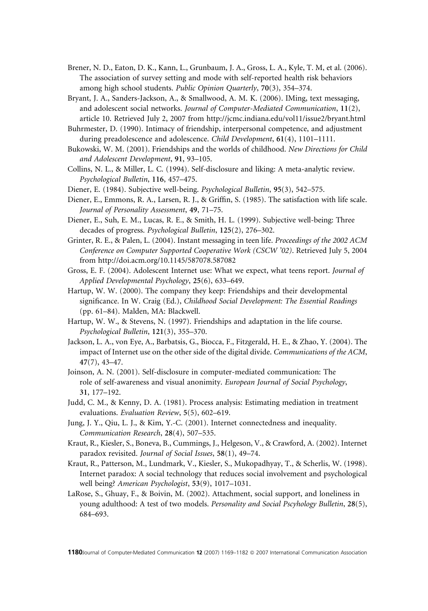- Brener, N. D., Eaton, D. K., Kann, L., Grunbaum, J. A., Gross, L. A., Kyle, T. M, et al. (2006). The association of survey setting and mode with self-reported health risk behaviors among high school students. Public Opinion Quarterly, 70(3), 354–374.
- Bryant, J. A., Sanders-Jackson, A., & Smallwood, A. M. K. (2006). IMing, text messaging, and adolescent social networks. Journal of Computer-Mediated Communication, 11(2), article 10. Retrieved July 2, 2007 from http://jcmc.indiana.edu/vol11/issue2/bryant.html
- Buhrmester, D. (1990). Intimacy of friendship, interpersonal competence, and adjustment during preadolescence and adolescence. Child Development, 61(4), 1101-1111.
- Bukowski, W. M. (2001). Friendships and the worlds of childhood. New Directions for Child and Adolescent Development, 91, 93–105.
- Collins, N. L., & Miller, L. C. (1994). Self-disclosure and liking: A meta-analytic review. Psychological Bulletin, 116, 457–475.
- Diener, E. (1984). Subjective well-being. Psychological Bulletin, 95(3), 542–575.
- Diener, E., Emmons, R. A., Larsen, R. J., & Griffin, S. (1985). The satisfaction with life scale. Journal of Personality Assessment, 49, 71–75.
- Diener, E., Suh, E. M., Lucas, R. E., & Smith, H. L. (1999). Subjective well-being: Three decades of progress. Psychological Bulletin, 125(2), 276–302.
- Grinter, R. E., & Palen, L. (2004). Instant messaging in teen life. Proceedings of the 2002 ACM Conference on Computer Supported Cooperative Work (CSCW '02). Retrieved July 5, 2004 from http://doi.acm.org/10.1145/587078.587082
- Gross, E. F. (2004). Adolescent Internet use: What we expect, what teens report. Journal of Applied Developmental Psychology, 25(6), 633–649.
- Hartup, W. W. (2000). The company they keep: Friendships and their developmental significance. In W. Craig (Ed.), Childhood Social Development: The Essential Readings (pp. 61–84). Malden, MA: Blackwell.
- Hartup, W. W., & Stevens, N. (1997). Friendships and adaptation in the life course. Psychological Bulletin, 121(3), 355–370.
- Jackson, L. A., von Eye, A., Barbatsis, G., Biocca, F., Fitzgerald, H. E., & Zhao, Y. (2004). The impact of Internet use on the other side of the digital divide. Communications of the ACM, 47(7), 43–47.
- Joinson, A. N. (2001). Self-disclosure in computer-mediated communication: The role of self-awareness and visual anonimity. European Journal of Social Psychology, 31, 177–192.
- Judd, C. M., & Kenny, D. A. (1981). Process analysis: Estimating mediation in treatment evaluations. Evaluation Review, 5(5), 602–619.
- Jung, J. Y., Qiu, L. J., & Kim, Y.-C. (2001). Internet connectedness and inequality. Communication Research, 28(4), 507–535.
- Kraut, R., Kiesler, S., Boneva, B., Cummings, J., Helgeson, V., & Crawford, A. (2002). Internet paradox revisited. Journal of Social Issues, 58(1), 49–74.
- Kraut, R., Patterson, M., Lundmark, V., Kiesler, S., Mukopadhyay, T., & Scherlis, W. (1998). Internet paradox: A social technology that reduces social involvement and psychological well being? American Psychologist, 53(9), 1017–1031.
- LaRose, S., Ghuay, F., & Boivin, M. (2002). Attachment, social support, and loneliness in young adulthood: A test of two models. Personality and Social Pscyhology Bulletin, 28(5), 684–693.

1180Journal of Computer-Mediated Communication 12 (2007) 1169-1182 @ 2007 International Communication Association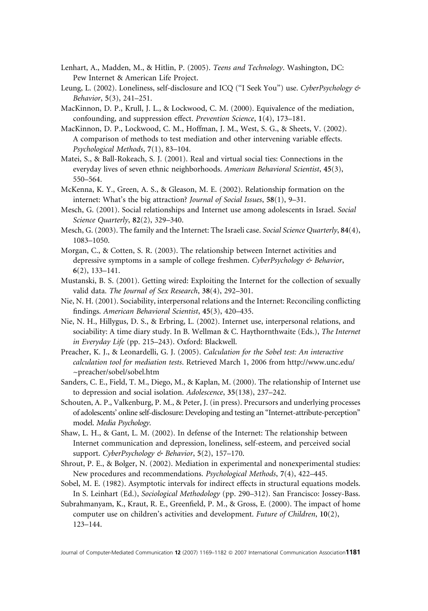- Lenhart, A., Madden, M., & Hitlin, P. (2005). Teens and Technology. Washington, DC: Pew Internet & American Life Project.
- Leung, L. (2002). Loneliness, self-disclosure and ICQ ("I Seek You") use. CyberPsychology & Behavior, 5(3), 241–251.
- MacKinnon, D. P., Krull, J. L., & Lockwood, C. M. (2000). Equivalence of the mediation, confounding, and suppression effect. Prevention Science, 1(4), 173–181.
- MacKinnon, D. P., Lockwood, C. M., Hoffman, J. M., West, S. G., & Sheets, V. (2002). A comparison of methods to test mediation and other intervening variable effects. Psychological Methods, 7(1), 83–104.
- Matei, S., & Ball-Rokeach, S. J. (2001). Real and virtual social ties: Connections in the everyday lives of seven ethnic neighborhoods. American Behavioral Scientist, 45(3), 550–564.
- McKenna, K. Y., Green, A. S., & Gleason, M. E. (2002). Relationship formation on the internet: What's the big attraction? Journal of Social Issues, 58(1), 9–31.
- Mesch, G. (2001). Social relationships and Internet use among adolescents in Israel. Social Science Quarterly, 82(2), 329–340.
- Mesch, G. (2003). The family and the Internet: The Israeli case. Social Science Quarterly, 84(4), 1083–1050.
- Morgan, C., & Cotten, S. R. (2003). The relationship between Internet activities and depressive symptoms in a sample of college freshmen. CyberPsychology & Behavior, 6(2), 133–141.
- Mustanski, B. S. (2001). Getting wired: Exploiting the Internet for the collection of sexually valid data. The Journal of Sex Research, 38(4), 292–301.
- Nie, N. H. (2001). Sociability, interpersonal relations and the Internet: Reconciling conflicting findings. American Behavioral Scientist, 45(3), 420–435.
- Nie, N. H., Hillygus, D. S., & Erbring, L. (2002). Internet use, interpersonal relations, and sociability: A time diary study. In B. Wellman & C. Haythornthwaite (Eds.), The Internet in Everyday Life (pp. 215–243). Oxford: Blackwell.
- Preacher, K. J., & Leonardelli, G. J. (2005). Calculation for the Sobel test: An interactive calculation tool for mediation tests. Retrieved March 1, 2006 from http://www.unc.edu/ ~preacher/sobel/sobel.htm
- Sanders, C. E., Field, T. M., Diego, M., & Kaplan, M. (2000). The relationship of Internet use to depression and social isolation. Adolescence, 35(138), 237–242.
- Schouten, A. P., Valkenburg, P. M., & Peter, J. (in press). Precursors and underlying processes of adolescents' online self-disclosure: Developing and testing an ''Internet-attribute-perception'' model. Media Psychology.
- Shaw, L. H., & Gant, L. M. (2002). In defense of the Internet: The relationship between Internet communication and depression, loneliness, self-esteem, and perceived social support. CyberPsychology & Behavior, 5(2), 157-170.
- Shrout, P. E., & Bolger, N. (2002). Mediation in experimental and nonexperimental studies: New procedures and recommendations. Psychological Methods, 7(4), 422–445.
- Sobel, M. E. (1982). Asymptotic intervals for indirect effects in structural equations models. In S. Leinhart (Ed.), Sociological Methodology (pp. 290–312). San Francisco: Jossey-Bass.
- Subrahmanyam, K., Kraut, R. E., Greenfield, P. M., & Gross, E. (2000). The impact of home computer use on children's activities and development. Future of Children, 10(2), 123–144.